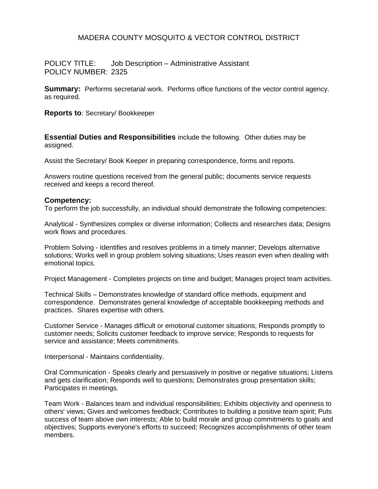# MADERA COUNTY MOSQUITO & VECTOR CONTROL DISTRICT

POLICY TITLE: Job Description – Administrative Assistant POLICY NUMBER: 2325

**Summary:** Performs secretarial work. Performs office functions of the vector control agency. as required.

**Reports to**: Secretary/ Bookkeeper

**Essential Duties and Responsibilities** include the following. Other duties may be assigned.

Assist the Secretary/ Book Keeper in preparing correspondence, forms and reports.

Answers routine questions received from the general public; documents service requests received and keeps a record thereof.

#### **Competency:**

To perform the job successfully, an individual should demonstrate the following competencies:

Analytical - Synthesizes complex or diverse information; Collects and researches data; Designs work flows and procedures.

Problem Solving - Identifies and resolves problems in a timely manner; Develops alternative solutions; Works well in group problem solving situations; Uses reason even when dealing with emotional topics.

Project Management - Completes projects on time and budget; Manages project team activities.

Technical Skills – Demonstrates knowledge of standard office methods, equipment and correspondence. Demonstrates general knowledge of acceptable bookkeeping methods and practices. Shares expertise with others.

Customer Service - Manages difficult or emotional customer situations; Responds promptly to customer needs; Solicits customer feedback to improve service; Responds to requests for service and assistance; Meets commitments.

Interpersonal - Maintains confidentiality.

Oral Communication - Speaks clearly and persuasively in positive or negative situations; Listens and gets clarification; Responds well to questions; Demonstrates group presentation skills; Participates in meetings.

Team Work - Balances team and individual responsibilities; Exhibits objectivity and openness to others' views; Gives and welcomes feedback; Contributes to building a positive team spirit; Puts success of team above own interests; Able to build morale and group commitments to goals and objectives; Supports everyone's efforts to succeed; Recognizes accomplishments of other team members.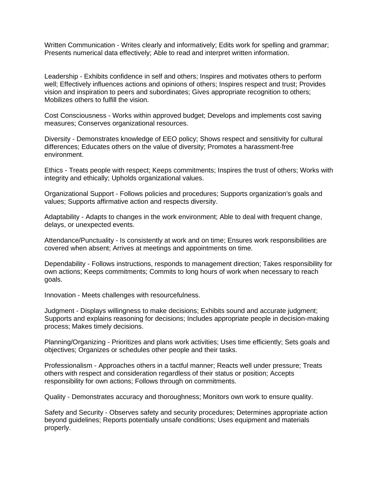Written Communication - Writes clearly and informatively; Edits work for spelling and grammar; Presents numerical data effectively; Able to read and interpret written information.

Leadership - Exhibits confidence in self and others; Inspires and motivates others to perform well; Effectively influences actions and opinions of others; Inspires respect and trust; Provides vision and inspiration to peers and subordinates; Gives appropriate recognition to others; Mobilizes others to fulfill the vision.

Cost Consciousness - Works within approved budget; Develops and implements cost saving measures; Conserves organizational resources.

Diversity - Demonstrates knowledge of EEO policy; Shows respect and sensitivity for cultural differences; Educates others on the value of diversity; Promotes a harassment-free environment.

Ethics - Treats people with respect; Keeps commitments; Inspires the trust of others; Works with integrity and ethically; Upholds organizational values.

Organizational Support - Follows policies and procedures; Supports organization's goals and values; Supports affirmative action and respects diversity.

Adaptability - Adapts to changes in the work environment; Able to deal with frequent change, delays, or unexpected events.

Attendance/Punctuality - Is consistently at work and on time; Ensures work responsibilities are covered when absent; Arrives at meetings and appointments on time.

Dependability - Follows instructions, responds to management direction; Takes responsibility for own actions; Keeps commitments; Commits to long hours of work when necessary to reach goals.

Innovation - Meets challenges with resourcefulness.

Judgment - Displays willingness to make decisions; Exhibits sound and accurate judgment; Supports and explains reasoning for decisions; Includes appropriate people in decision-making process; Makes timely decisions.

Planning/Organizing - Prioritizes and plans work activities; Uses time efficiently; Sets goals and objectives; Organizes or schedules other people and their tasks.

Professionalism - Approaches others in a tactful manner; Reacts well under pressure; Treats others with respect and consideration regardless of their status or position; Accepts responsibility for own actions; Follows through on commitments.

Quality - Demonstrates accuracy and thoroughness; Monitors own work to ensure quality.

Safety and Security - Observes safety and security procedures; Determines appropriate action beyond guidelines; Reports potentially unsafe conditions; Uses equipment and materials properly.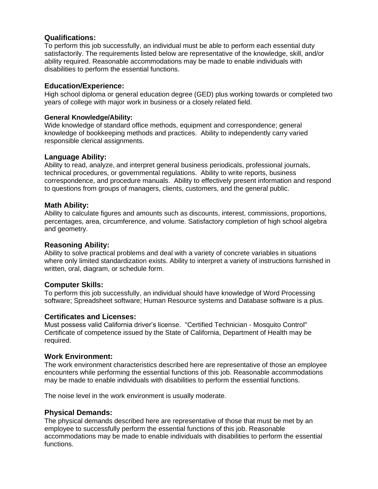# **Qualifications:**

To perform this job successfully, an individual must be able to perform each essential duty satisfactorily. The requirements listed below are representative of the knowledge, skill, and/or ability required. Reasonable accommodations may be made to enable individuals with disabilities to perform the essential functions.

# **Education/Experience:**

High school diploma or general education degree (GED) plus working towards or completed two years of college with major work in business or a closely related field.

# **General Knowledge/Ability:**

Wide knowledge of standard office methods, equipment and correspondence; general knowledge of bookkeeping methods and practices. Ability to independently carry varied responsible clerical assignments.

#### **Language Ability:**

Ability to read, analyze, and interpret general business periodicals, professional journals, technical procedures, or governmental regulations. Ability to write reports, business correspondence, and procedure manuals. Ability to effectively present information and respond to questions from groups of managers, clients, customers, and the general public.

#### **Math Ability:**

Ability to calculate figures and amounts such as discounts, interest, commissions, proportions, percentages, area, circumference, and volume. Satisfactory completion of high school algebra and geometry.

#### **Reasoning Ability:**

Ability to solve practical problems and deal with a variety of concrete variables in situations where only limited standardization exists. Ability to interpret a variety of instructions furnished in written, oral, diagram, or schedule form.

# **Computer Skills:**

To perform this job successfully, an individual should have knowledge of Word Processing software; Spreadsheet software; Human Resource systems and Database software is a plus.

# **Certificates and Licenses:**

Must possess valid California driver's license. "Certified Technician - Mosquito Control" Certificate of competence issued by the State of California, Department of Health may be required.

# **Work Environment:**

The work environment characteristics described here are representative of those an employee encounters while performing the essential functions of this job. Reasonable accommodations may be made to enable individuals with disabilities to perform the essential functions.

The noise level in the work environment is usually moderate.

# **Physical Demands:**

The physical demands described here are representative of those that must be met by an employee to successfully perform the essential functions of this job. Reasonable accommodations may be made to enable individuals with disabilities to perform the essential functions.